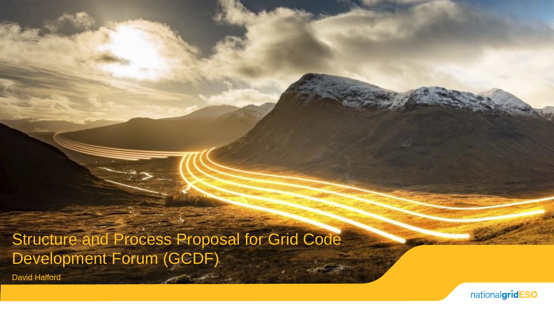Structure and Process Proposal for Grid Code Development Forum (GCDF)

David Halford

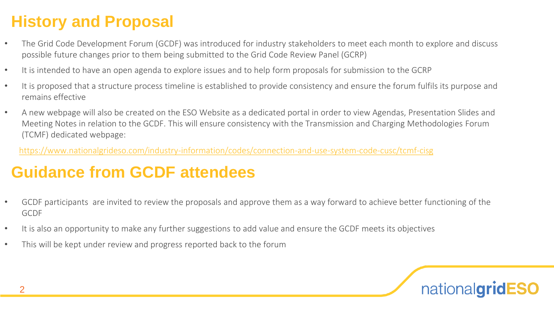# **History and Proposal**

- The Grid Code Development Forum (GCDF) was introduced for industry stakeholders to meet each month to explore and discuss possible future changes prior to them being submitted to the Grid Code Review Panel (GCRP)
- It is intended to have an open agenda to explore issues and to help form proposals for submission to the GCRP
- It is proposed that a structure process timeline is established to provide consistency and ensure the forum fulfils its purpose and remains effective
- A new webpage will also be created on the ESO Website as a dedicated portal in order to view Agendas, Presentation Slides and Meeting Notes in relation to the GCDF. This will ensure consistency with the Transmission and Charging Methodologies Forum (TCMF) dedicated webpage:

<https://www.nationalgrideso.com/industry-information/codes/connection-and-use-system-code-cusc/tcmf-cisg>

## **Guidance from GCDF attendees**

- GCDF participants are invited to review the proposals and approve them as a way forward to achieve better functioning of the GCDF
- It is also an opportunity to make any further suggestions to add value and ensure the GCDF meets its objectives
- This will be kept under review and progress reported back to the forum

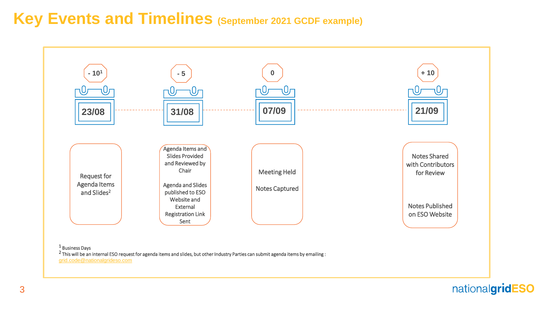### **Key Events and Timelines (September 2021 GCDF example)**



#### <sup>1</sup> Business Days

 $2$  This will be an internal ESO request for agenda items and slides, but other Industry Parties can submit agenda items by emailing : [grid.code@nationalgrideso.com](mailto:grid.code@nationalgrideso.com)

nationalgridESO